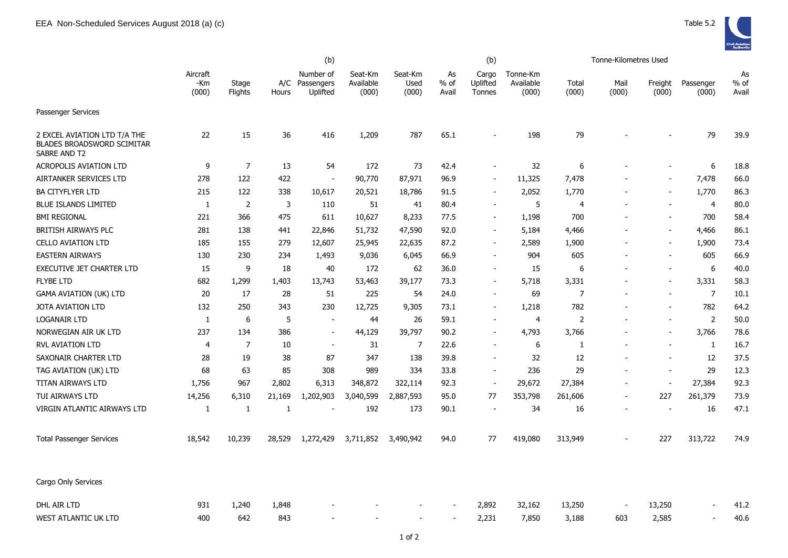|                                                                                   | (b)                        |                  |              |                                     |                               |                          |                       | (b)                         |                                |                | Tonne-Kilometres Used |                          |                    |                       |
|-----------------------------------------------------------------------------------|----------------------------|------------------|--------------|-------------------------------------|-------------------------------|--------------------------|-----------------------|-----------------------------|--------------------------------|----------------|-----------------------|--------------------------|--------------------|-----------------------|
|                                                                                   | Aircraft<br>$-Km$<br>(000) | Stage<br>Flights | A/C<br>Hours | Number of<br>Passengers<br>Uplifted | Seat-Km<br>Available<br>(000) | Seat-Km<br>Used<br>(000) | As<br>$%$ of<br>Avail | Cargo<br>Uplifted<br>Tonnes | Tonne-Km<br>Available<br>(000) | Total<br>(000) | Mail<br>(000)         | Freight<br>(000)         | Passenger<br>(000) | As<br>$%$ of<br>Avail |
| Passenger Services                                                                |                            |                  |              |                                     |                               |                          |                       |                             |                                |                |                       |                          |                    |                       |
| 2 EXCEL AVIATION LTD T/A THE<br><b>BLADES BROADSWORD SCIMITAR</b><br>SABRE AND T2 | 22                         | 15               | 36           | 416                                 | 1,209                         | 787                      | 65.1                  |                             | 198                            | 79             |                       |                          | 79                 | 39.9                  |
| ACROPOLIS AVIATION LTD                                                            | 9                          | $\overline{7}$   | 13           | 54                                  | 172                           | 73                       | 42.4                  |                             | 32                             | 6              |                       |                          | 6                  | 18.8                  |
| AIRTANKER SERVICES LTD                                                            | 278                        | 122              | 422          | $\blacksquare$                      | 90,770                        | 87,971                   | 96.9                  | $\sim$                      | 11,325                         | 7,478          |                       | $\blacksquare$           | 7,478              | 66.0                  |
| <b>BA CITYFLYER LTD</b>                                                           | 215                        | 122              | 338          | 10,617                              | 20,521                        | 18,786                   | 91.5                  |                             | 2,052                          | 1,770          |                       | $\blacksquare$           | 1,770              | 86.3                  |
| <b>BLUE ISLANDS LIMITED</b>                                                       | 1                          | $\overline{2}$   | 3            | 110                                 | 51                            | 41                       | 80.4                  |                             | 5                              | 4              |                       | $\blacksquare$           | $\overline{4}$     | 80.0                  |
| <b>BMI REGIONAL</b>                                                               | 221                        | 366              | 475          | 611                                 | 10,627                        | 8,233                    | 77.5                  |                             | 1,198                          | 700            |                       | $\sim$                   | 700                | 58.4                  |
| <b>BRITISH AIRWAYS PLC</b>                                                        | 281                        | 138              | 441          | 22,846                              | 51,732                        | 47,590                   | 92.0                  |                             | 5,184                          | 4,466          |                       | $\blacksquare$           | 4,466              | 86.1                  |
| <b>CELLO AVIATION LTD</b>                                                         | 185                        | 155              | 279          | 12,607                              | 25,945                        | 22,635                   | 87.2                  |                             | 2,589                          | 1,900          |                       |                          | 1,900              | 73.4                  |
| <b>EASTERN AIRWAYS</b>                                                            | 130                        | 230              | 234          | 1,493                               | 9,036                         | 6,045                    | 66.9                  |                             | 904                            | 605            |                       |                          | 605                | 66.9                  |
| EXECUTIVE JET CHARTER LTD                                                         | 15                         | 9                | 18           | 40                                  | 172                           | 62                       | 36.0                  |                             | 15                             | 6              |                       |                          | 6                  | 40.0                  |
| <b>FLYBE LTD</b>                                                                  | 682                        | 1,299            | 1,403        | 13,743                              | 53,463                        | 39,177                   | 73.3                  |                             | 5,718                          | 3,331          |                       |                          | 3,331              | 58.3                  |
| <b>GAMA AVIATION (UK) LTD</b>                                                     | 20                         | 17               | 28           | 51                                  | 225                           | 54                       | 24.0                  |                             | 69                             | 7              |                       |                          | $\overline{7}$     | 10.1                  |
| <b>JOTA AVIATION LTD</b>                                                          | 132                        | 250              | 343          | 230                                 | 12,725                        | 9,305                    | 73.1                  |                             | 1,218                          | 782            |                       |                          | 782                | 64.2                  |
| <b>LOGANAIR LTD</b>                                                               | 1                          | 6                | 5            | $\blacksquare$                      | 44                            | 26                       | 59.1                  |                             | 4                              | 2              |                       | $\blacksquare$           | 2                  | 50.0                  |
| NORWEGIAN AIR UK LTD                                                              | 237                        | 134              | 386          | $\blacksquare$                      | 44,129                        | 39,797                   | 90.2                  |                             | 4,793                          | 3,766          |                       |                          | 3,766              | 78.6                  |
| <b>RVL AVIATION LTD</b>                                                           | 4                          | $\overline{7}$   | 10           | $\blacksquare$                      | 31                            | 7                        | 22.6                  |                             | 6                              | 1              |                       |                          | $\mathbf{1}$       | 16.7                  |
| SAXONAIR CHARTER LTD                                                              | 28                         | 19               | 38           | 87                                  | 347                           | 138                      | 39.8                  |                             | 32                             | 12             |                       |                          | 12                 | 37.5                  |
| TAG AVIATION (UK) LTD                                                             | 68                         | 63               | 85           | 308                                 | 989                           | 334                      | 33.8                  |                             | 236                            | 29             |                       | $\overline{\phantom{a}}$ | 29                 | 12.3                  |
| TITAN AIRWAYS LTD                                                                 | 1,756                      | 967              | 2,802        | 6,313                               | 348,872                       | 322,114                  | 92.3                  |                             | 29,672                         | 27,384         |                       |                          | 27,384             | 92.3                  |
| TUI AIRWAYS LTD                                                                   | 14,256                     | 6,310            | 21,169       | 1,202,903                           | 3,040,599                     | 2,887,593                | 95.0                  | 77                          | 353,798                        | 261,606        |                       | 227                      | 261,379            | 73.9                  |
| VIRGIN ATLANTIC AIRWAYS LTD                                                       | 1                          | 1                | 1            | $\blacksquare$                      | 192                           | 173                      | 90.1                  |                             | 34                             | 16             |                       |                          | 16                 | 47.1                  |
| <b>Total Passenger Services</b>                                                   | 18,542                     | 10,239           | 28,529       | 1,272,429                           | 3,711,852                     | 3,490,942                | 94.0                  | 77                          | 419,080                        | 313,949        |                       | 227                      | 313,722            | 74.9                  |
| Cargo Only Services                                                               |                            |                  |              |                                     |                               |                          |                       |                             |                                |                |                       |                          |                    |                       |
| DHL AIR LTD                                                                       | 931                        | 1,240            | 1,848        |                                     |                               |                          |                       | 2,892                       | 32,162                         | 13,250         |                       | 13,250                   |                    | 41.2                  |
| WEST ATLANTIC UK LTD                                                              | 400                        | 642              | 843          |                                     |                               |                          |                       | 2,231                       | 7,850                          | 3,188          | 603                   | 2,585                    |                    | 40.6                  |